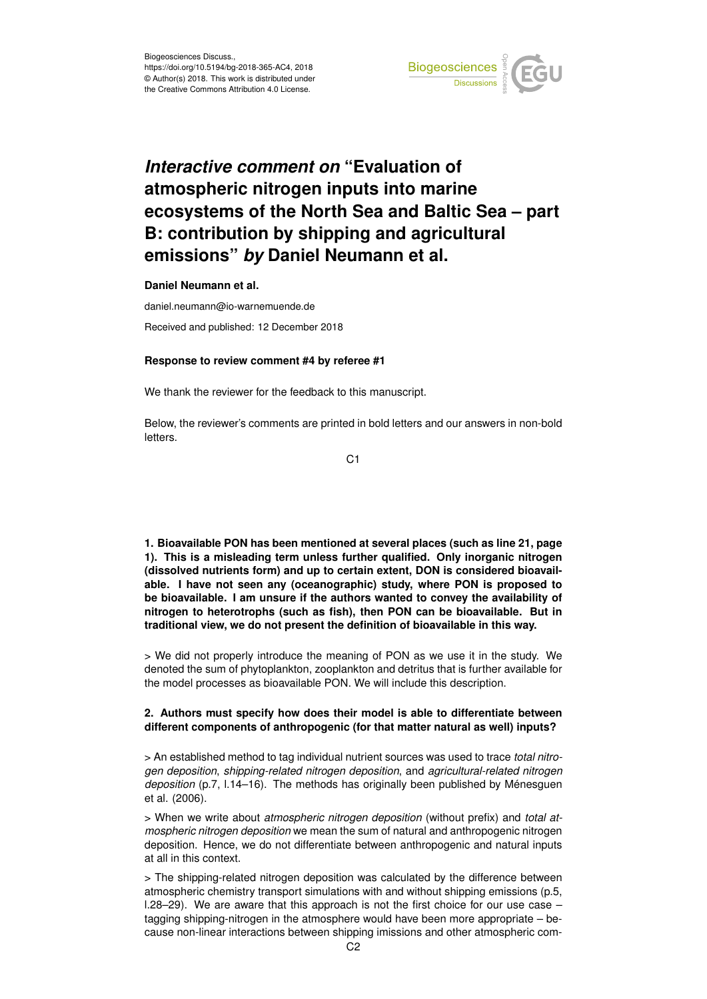

# *Interactive comment on* **"Evaluation of atmospheric nitrogen inputs into marine ecosystems of the North Sea and Baltic Sea – part B: contribution by shipping and agricultural emissions"** *by* **Daniel Neumann et al.**

**Daniel Neumann et al.**

daniel.neumann@io-warnemuende.de Received and published: 12 December 2018

### **Response to review comment #4 by referee #1**

We thank the reviewer for the feedback to this manuscript.

Below, the reviewer's comments are printed in bold letters and our answers in non-bold letters.

C1

**1. Bioavailable PON has been mentioned at several places (such as line 21, page 1). This is a misleading term unless further qualified. Only inorganic nitrogen (dissolved nutrients form) and up to certain extent, DON is considered bioavailable. I have not seen any (oceanographic) study, where PON is proposed to be bioavailable. I am unsure if the authors wanted to convey the availability of nitrogen to heterotrophs (such as fish), then PON can be bioavailable. But in traditional view, we do not present the definition of bioavailable in this way.**

> We did not properly introduce the meaning of PON as we use it in the study. We denoted the sum of phytoplankton, zooplankton and detritus that is further available for the model processes as bioavailable PON. We will include this description.

# **2. Authors must specify how does their model is able to differentiate between different components of anthropogenic (for that matter natural as well) inputs?**

> An established method to tag individual nutrient sources was used to trace *total nitrogen deposition*, *shipping-related nitrogen deposition*, and *agricultural-related nitrogen deposition* (p.7, l.14–16). The methods has originally been published by Ménesguen et al. (2006).

> When we write about *atmospheric nitrogen deposition* (without prefix) and *total atmospheric nitrogen deposition* we mean the sum of natural and anthropogenic nitrogen deposition. Hence, we do not differentiate between anthropogenic and natural inputs at all in this context.

> The shipping-related nitrogen deposition was calculated by the difference between atmospheric chemistry transport simulations with and without shipping emissions (p.5, l.28–29). We are aware that this approach is not the first choice for our use case – tagging shipping-nitrogen in the atmosphere would have been more appropriate – because non-linear interactions between shipping imissions and other atmospheric com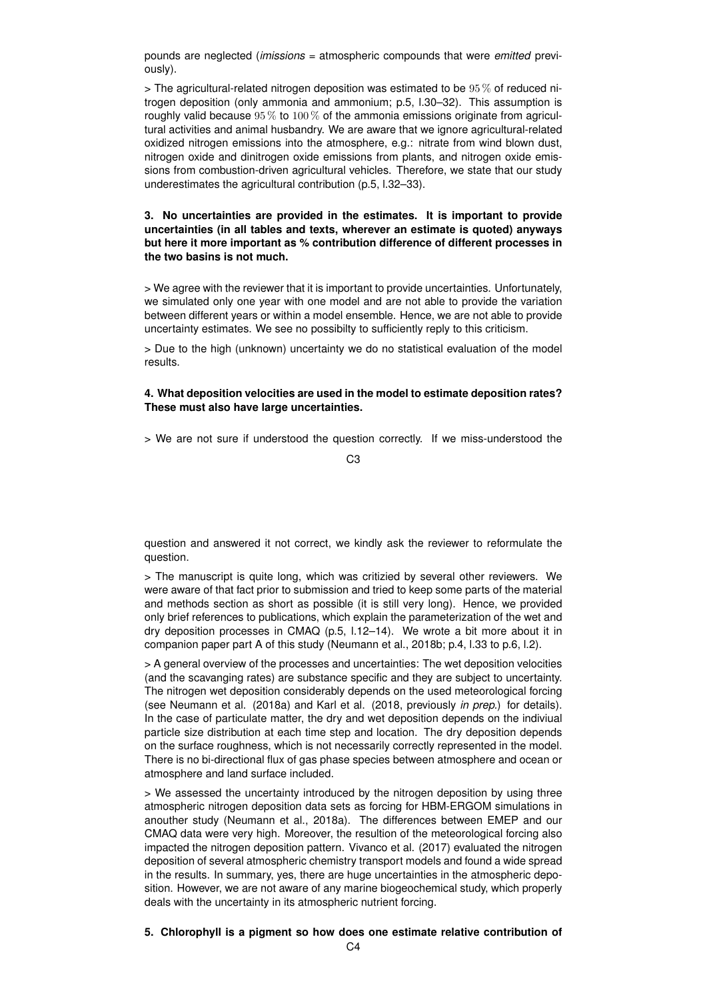pounds are neglected (*imissions* = atmospheric compounds that were *emitted* previously).

 $>$  The agricultural-related nitrogen deposition was estimated to be  $95\%$  of reduced nitrogen deposition (only ammonia and ammonium; p.5, l.30–32). This assumption is roughly valid because  $95\%$  to  $100\%$  of the ammonia emissions originate from agricultural activities and animal husbandry. We are aware that we ignore agricultural-related oxidized nitrogen emissions into the atmosphere, e.g.: nitrate from wind blown dust, nitrogen oxide and dinitrogen oxide emissions from plants, and nitrogen oxide emissions from combustion-driven agricultural vehicles. Therefore, we state that our study underestimates the agricultural contribution (p.5, l.32–33).

#### **3. No uncertainties are provided in the estimates. It is important to provide uncertainties (in all tables and texts, wherever an estimate is quoted) anyways but here it more important as % contribution difference of different processes in the two basins is not much.**

> We agree with the reviewer that it is important to provide uncertainties. Unfortunately, we simulated only one year with one model and are not able to provide the variation between different years or within a model ensemble. Hence, we are not able to provide uncertainty estimates. We see no possibilty to sufficiently reply to this criticism.

> Due to the high (unknown) uncertainty we do no statistical evaluation of the model results.

#### **4. What deposition velocities are used in the model to estimate deposition rates? These must also have large uncertainties.**

> We are not sure if understood the question correctly. If we miss-understood the

C3

question and answered it not correct, we kindly ask the reviewer to reformulate the question.

> The manuscript is quite long, which was critizied by several other reviewers. We were aware of that fact prior to submission and tried to keep some parts of the material and methods section as short as possible (it is still very long). Hence, we provided only brief references to publications, which explain the parameterization of the wet and dry deposition processes in CMAQ (p.5, l.12–14). We wrote a bit more about it in companion paper part A of this study (Neumann et al., 2018b; p.4, l.33 to p.6, l.2).

> A general overview of the processes and uncertainties: The wet deposition velocities (and the scavanging rates) are substance specific and they are subject to uncertainty. The nitrogen wet deposition considerably depends on the used meteorological forcing (see Neumann et al. (2018a) and Karl et al. (2018, previously *in prep.*) for details). In the case of particulate matter, the dry and wet deposition depends on the indiviual particle size distribution at each time step and location. The dry deposition depends on the surface roughness, which is not necessarily correctly represented in the model. There is no bi-directional flux of gas phase species between atmosphere and ocean or atmosphere and land surface included.

> We assessed the uncertainty introduced by the nitrogen deposition by using three atmospheric nitrogen deposition data sets as forcing for HBM-ERGOM simulations in anouther study (Neumann et al., 2018a). The differences between EMEP and our CMAQ data were very high. Moreover, the resultion of the meteorological forcing also impacted the nitrogen deposition pattern. Vivanco et al. (2017) evaluated the nitrogen deposition of several atmospheric chemistry transport models and found a wide spread in the results. In summary, yes, there are huge uncertainties in the atmospheric deposition. However, we are not aware of any marine biogeochemical study, which properly deals with the uncertainty in its atmospheric nutrient forcing.

#### **5. Chlorophyll is a pigment so how does one estimate relative contribution of**